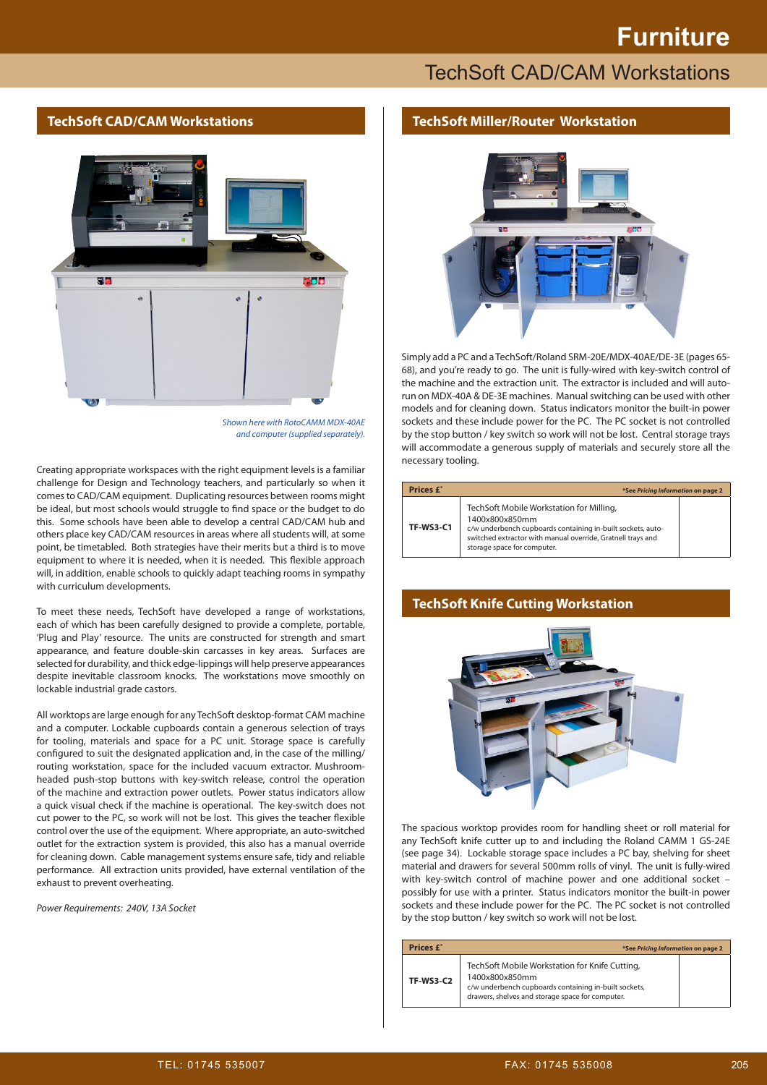# **Furniture**

# **TechSoft CAD/CAM Workstations**

#### **TechSoft CAD/CAM Workstations**



*Shown here with RotoCAMM MDX-40AE and computer (supplied separately).*

Creating appropriate workspaces with the right equipment levels is a familiar challenge for Design and Technology teachers, and particularly so when it comes to CAD/CAM equipment. Duplicating resources between rooms might be ideal, but most schools would struggle to find space or the budget to do this. Some schools have been able to develop a central CAD/CAM hub and others place key CAD/CAM resources in areas where all students will, at some point, be timetabled. Both strategies have their merits but a third is to move equipment to where it is needed, when it is needed. This flexible approach will, in addition, enable schools to quickly adapt teaching rooms in sympathy with curriculum developments.

To meet these needs, TechSoft have developed a range of workstations, each of which has been carefully designed to provide a complete, portable, 'Plug and Play' resource. The units are constructed for strength and smart appearance, and feature double-skin carcasses in key areas. Surfaces are selected for durability, and thick edge-lippings will help preserve appearances despite inevitable classroom knocks. The workstations move smoothly on lockable industrial grade castors.

All worktops are large enough for any TechSoft desktop-format CAM machine and a computer. Lockable cupboards contain a generous selection of trays for tooling, materials and space for a PC unit. Storage space is carefully configured to suit the designated application and, in the case of the milling/ routing workstation, space for the included vacuum extractor. Mushroomheaded push-stop buttons with key-switch release, control the operation of the machine and extraction power outlets. Power status indicators allow a quick visual check if the machine is operational. The key-switch does not cut power to the PC, so work will not be lost. This gives the teacher flexible control over the use of the equipment. Where appropriate, an auto-switched outlet for the extraction system is provided, this also has a manual override for cleaning down. Cable management systems ensure safe, tidy and reliable performance. All extraction units provided, have external ventilation of the exhaust to prevent overheating.

*Power Requirements: 240V, 13A Socket*

### **TechSoft Miller/Router Workstation**



Simply add a PC and a TechSoft/Roland SRM-20E/MDX-40AE/DE-3E (pages 65- 68), and you're ready to go. The unit is fully-wired with key-switch control of the machine and the extraction unit. The extractor is included and will autorun on MDX-40A & DE-3E machines. Manual switching can be used with other models and for cleaning down. Status indicators monitor the built-in power sockets and these include power for the PC. The PC socket is not controlled by the stop button / key switch so work will not be lost. Central storage trays will accommodate a generous supply of materials and securely store all the necessary tooling.

| Prices £*        | *See Pricing Information on page 2                                                                                                                                                                                      |  |
|------------------|-------------------------------------------------------------------------------------------------------------------------------------------------------------------------------------------------------------------------|--|
| <b>TF-WS3-C1</b> | TechSoft Mobile Workstation for Milling,<br>1400x800x850mm<br>c/w underbench cupboards containing in-built sockets, auto-<br>switched extractor with manual override, Gratnell trays and<br>storage space for computer. |  |

### **TechSoft Knife Cutting Workstation**



The spacious worktop provides room for handling sheet or roll material for any TechSoft knife cutter up to and including the Roland CAMM 1 GS-24E (see page 34). Lockable storage space includes a PC bay, shelving for sheet material and drawers for several 500mm rolls of vinyl. The unit is fully-wired with key-switch control of machine power and one additional socket – possibly for use with a printer. Status indicators monitor the built-in power sockets and these include power for the PC. The PC socket is not controlled by the stop button / key switch so work will not be lost.

| Prices £*        | *See Pricing Information on page 2                                                                                                                                            |  |
|------------------|-------------------------------------------------------------------------------------------------------------------------------------------------------------------------------|--|
| <b>TF-WS3-C2</b> | TechSoft Mobile Workstation for Knife Cutting,<br>1400x800x850mm<br>c/w underbench cupboards containing in-built sockets,<br>drawers, shelves and storage space for computer. |  |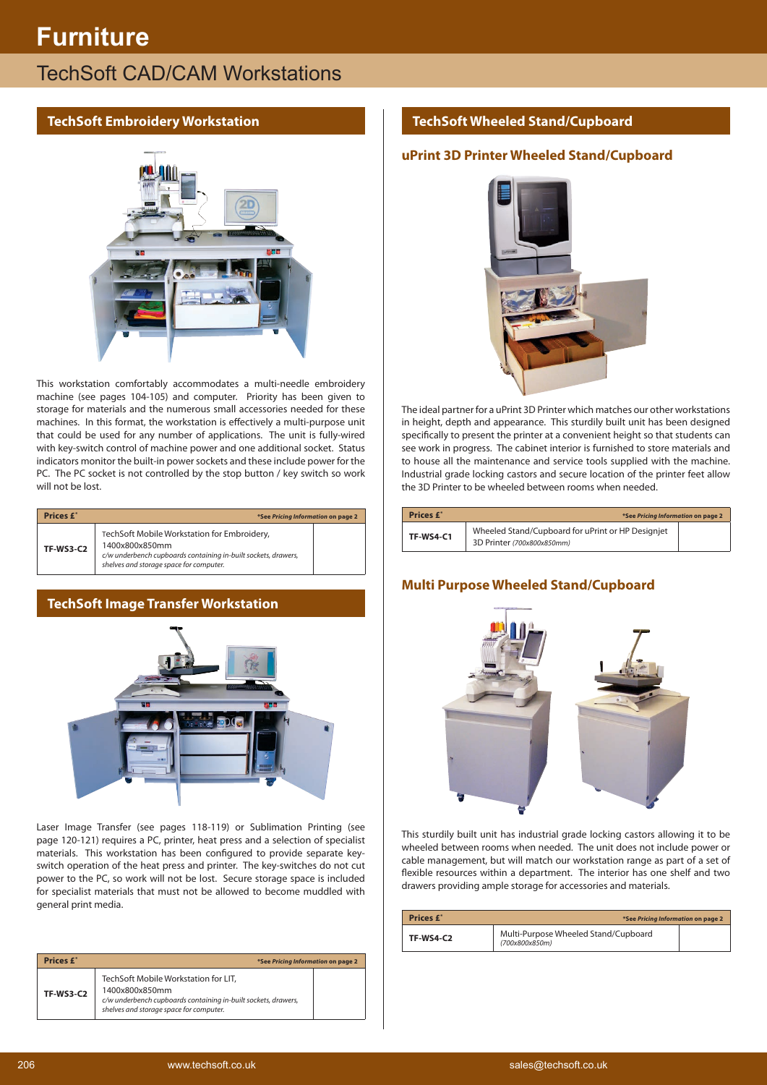# **Furniture**

# **TechSoft CAD/CAM Workstations**

### **TechSoft Embroidery Workstation**



This workstation comfortably accommodates a multi-needle embroidery machine (see pages 104-105) and computer. Priority has been given to storage for materials and the numerous small accessories needed for these machines. In this format, the workstation is effectively a multi-purpose unit that could be used for any number of applications. The unit is fully-wired with key-switch control of machine power and one additional socket. Status indicators monitor the built-in power sockets and these include power for the PC. The PC socket is not controlled by the stop button / key switch so work will not be lost.

| <b>Prices £*</b> | *See Pricing Information on page 2                                                                                                                                         |  |
|------------------|----------------------------------------------------------------------------------------------------------------------------------------------------------------------------|--|
| <b>TF-WS3-C2</b> | TechSoft Mobile Workstation for Embroidery,<br>1400x800x850mm<br>c/w underbench cupboards containing in-built sockets, drawers,<br>shelves and storage space for computer. |  |

## **TechSoft Image Transfer Workstation**



Laser Image Transfer (see pages 118-119) or Sublimation Printing (see page 120-121) requires a PC, printer, heat press and a selection of specialist materials. This workstation has been configured to provide separate keyswitch operation of the heat press and printer. The key-switches do not cut power to the PC, so work will not be lost. Secure storage space is included for specialist materials that must not be allowed to become muddled with general print media.

| Prices £*        | *See Pricing Information on page 2                                                                                                                                  |  |
|------------------|---------------------------------------------------------------------------------------------------------------------------------------------------------------------|--|
| <b>TF-WS3-C2</b> | TechSoft Mobile Workstation for LIT.<br>1400x800x850mm<br>c/w underbench cupboards containing in-built sockets, drawers,<br>shelves and storage space for computer. |  |

## **TechSoft Wheeled Stand/Cupboard**

## **uPrint 3D Printer Wheeled Stand/Cupboard**



The ideal partner for a uPrint 3D Printer which matches our other workstations in height, depth and appearance. This sturdily built unit has been designed specifically to present the printer at a convenient height so that students can see work in progress. The cabinet interior is furnished to store materials and to house all the maintenance and service tools supplied with the machine. Industrial grade locking castors and secure location of the printer feet allow the 3D Printer to be wheeled between rooms when needed.

| Prices £*        | *See Pricing Information on page 2                                              |  |
|------------------|---------------------------------------------------------------------------------|--|
| <b>TF-WS4-C1</b> | Wheeled Stand/Cupboard for uPrint or HP Designiet<br>3D Printer (700x800x850mm) |  |

## **Multi Purpose Wheeled Stand/Cupboard**



This sturdily built unit has industrial grade locking castors allowing it to be wheeled between rooms when needed. The unit does not include power or cable management, but will match our workstation range as part of a set of flexible resources within a department. The interior has one shelf and two drawers providing ample storage for accessories and materials.

| Prices £*        | *See Pricing Information on page 2                     |  |
|------------------|--------------------------------------------------------|--|
| <b>TF-WS4-C2</b> | Multi-Purpose Wheeled Stand/Cupboard<br>(700x800x850m) |  |